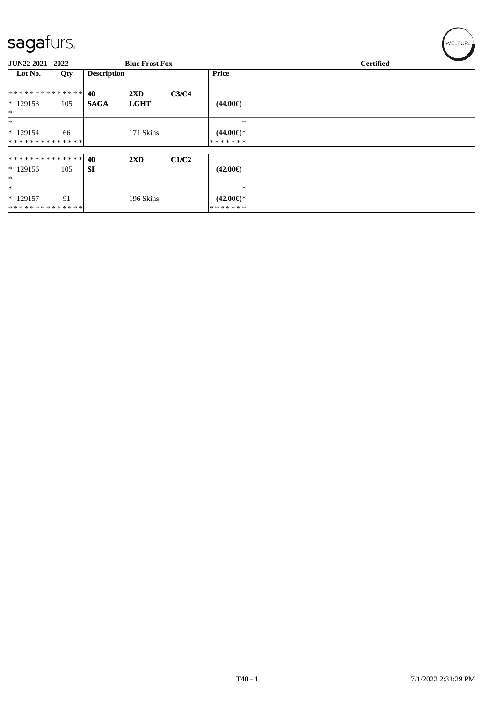| sagafurs.                                 |     |                    |                         |       |                                | WELFUR <sub>™</sub> |
|-------------------------------------------|-----|--------------------|-------------------------|-------|--------------------------------|---------------------|
| <b>JUN22 2021 - 2022</b>                  |     |                    | <b>Blue Frost Fox</b>   |       |                                | <b>Certified</b>    |
| Lot No.                                   | Qty | <b>Description</b> |                         |       | <b>Price</b>                   |                     |
| * * * * * * * * * * * * * * *             |     | 40                 | $2\mathbf{X}\mathbf{D}$ | C3/C4 |                                |                     |
| $*129153$<br>$\ast$                       | 105 | <b>SAGA</b>        | <b>LGHT</b>             |       | $(44.00\epsilon)$              |                     |
| $\ast$                                    |     |                    |                         |       | $\ast$                         |                     |
| $*129154$<br>**************               | 66  |                    | 171 Skins               |       | $(44.00€)$ *<br>*******        |                     |
| ************** 40                         |     |                    | $2\mathbf{X}\mathbf{D}$ | C1/C2 |                                |                     |
| $*129156$<br>$\ast$                       | 105 | <b>SI</b>          |                         |       | $(42.00\epsilon)$              |                     |
| $\ast$                                    |     |                    |                         |       | $\ast$                         |                     |
| $*129157$<br>******** <mark>******</mark> | 91  |                    | 196 Skins               |       | $(42.00\epsilon)$ *<br>******* |                     |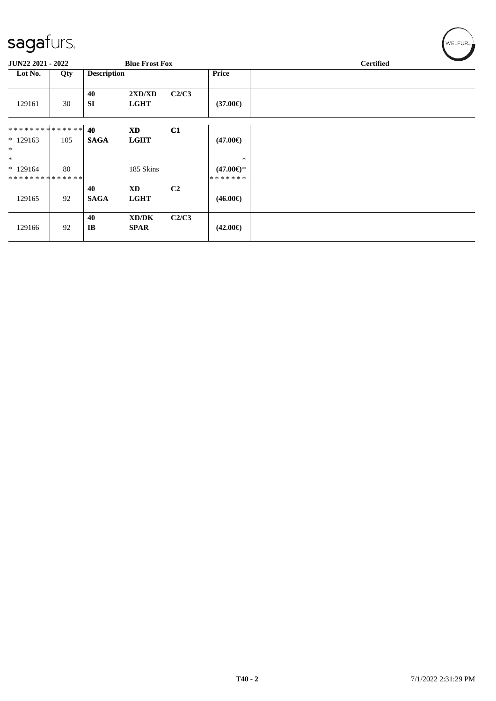| $\tilde{\phantom{a}}$                             |     |                    |             |                |                     |  |  |  |  |
|---------------------------------------------------|-----|--------------------|-------------|----------------|---------------------|--|--|--|--|
| <b>JUN22 2021 - 2022</b><br><b>Blue Frost Fox</b> |     |                    |             |                | <b>Certified</b>    |  |  |  |  |
| Lot No.                                           | Qty | <b>Description</b> |             |                | <b>Price</b>        |  |  |  |  |
|                                                   |     | 40                 | 2XD/XD      | C2/C3          |                     |  |  |  |  |
| 129161                                            | 30  | <b>SI</b>          | <b>LGHT</b> |                | $(37.00\epsilon)$   |  |  |  |  |
| ******** <mark>******</mark>                      |     | 40                 | <b>XD</b>   | C1             |                     |  |  |  |  |
| $*129163$                                         | 105 | <b>SAGA</b>        | <b>LGHT</b> |                | $(47.00\epsilon)$   |  |  |  |  |
| $\ast$                                            |     |                    |             |                |                     |  |  |  |  |
| $\ast$                                            |     |                    |             |                | $\ast$              |  |  |  |  |
| $*129164$                                         | 80  |                    | 185 Skins   |                | $(47.00\epsilon)$ * |  |  |  |  |
| **************                                    |     |                    |             |                | *******             |  |  |  |  |
|                                                   |     | 40                 | <b>XD</b>   | C <sub>2</sub> |                     |  |  |  |  |
| 129165                                            | 92  | <b>SAGA</b>        | <b>LGHT</b> |                | $(46.00\epsilon)$   |  |  |  |  |
|                                                   |     | 40                 | XD/DK       | C2/C3          |                     |  |  |  |  |
| 129166                                            | 92  | IB                 | <b>SPAR</b> |                | $(42.00\epsilon)$   |  |  |  |  |
|                                                   |     |                    |             |                |                     |  |  |  |  |

 $w$ ELFUR<sub><sup>22</sup></sub>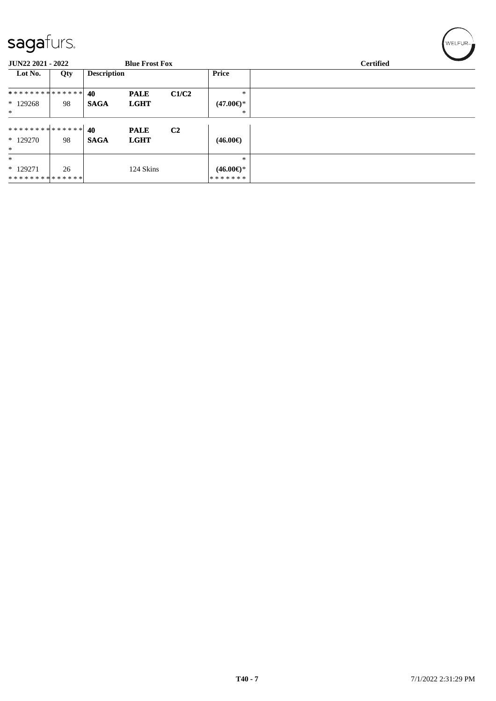| $\sim$ $\sim$ $\sim$                       |     |                    |             |                |                     |  |  |  |  |
|--------------------------------------------|-----|--------------------|-------------|----------------|---------------------|--|--|--|--|
| JUN22 2021 - 2022<br><b>Blue Frost Fox</b> |     |                    |             |                | <b>Certified</b>    |  |  |  |  |
| Lot No.                                    | Qty | <b>Description</b> |             |                | Price               |  |  |  |  |
| **************                             |     | 40                 | <b>PALE</b> | C1/C2          | $\ast$              |  |  |  |  |
| $*129268$                                  | 98  | <b>SAGA</b>        | <b>LGHT</b> |                | $(47.00€)$ *        |  |  |  |  |
| $\ast$                                     |     |                    |             |                | ∗                   |  |  |  |  |
| ******** <mark>******</mark>               |     | 40                 | <b>PALE</b> | C <sub>2</sub> |                     |  |  |  |  |
| $*129270$                                  | 98  | <b>SAGA</b>        | <b>LGHT</b> |                | $(46.00\epsilon)$   |  |  |  |  |
| $*$                                        |     |                    |             |                |                     |  |  |  |  |
| $\ast$                                     |     |                    |             |                | $\ast$              |  |  |  |  |
| $*129271$                                  | 26  |                    | 124 Skins   |                | $(46.00\epsilon)$ * |  |  |  |  |
| **************                             |     |                    |             |                | *******             |  |  |  |  |

 $\left(\mathsf{WELFUR}_{\mathfrak{m}}\right)$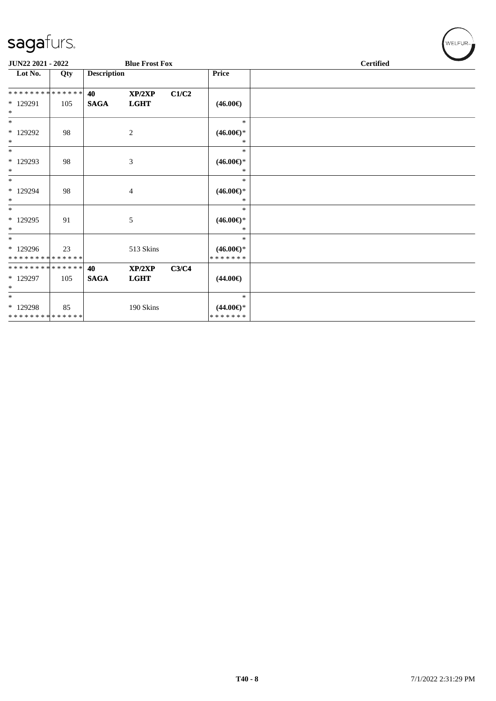| JUN22 2021 - 2022                        |     |                    | <b>Blue Frost Fox</b> |       |                                      | $\sim$<br><b>Certified</b> |
|------------------------------------------|-----|--------------------|-----------------------|-------|--------------------------------------|----------------------------|
| Lot No.                                  | Qty | <b>Description</b> |                       |       | Price                                |                            |
| **************                           |     | 40                 | XP/2XP                | C1/C2 |                                      |                            |
| * 129291<br>$\ast$                       | 105 | <b>SAGA</b>        | <b>LGHT</b>           |       | $(46.00\epsilon)$                    |                            |
| $\ast$                                   |     |                    |                       |       | $\ast$                               |                            |
| * 129292<br>$\ast$                       | 98  |                    | $\overline{c}$        |       | $(46.00\epsilon)$ *<br>$\ast$        |                            |
| $\ast$                                   |     |                    |                       |       | $\ast$                               |                            |
| * 129293<br>$\ast$                       | 98  |                    | 3                     |       | $(46.00\epsilon)$ *<br>$\ast$        |                            |
| $\ast$                                   |     |                    |                       |       | $\ast$                               |                            |
| * 129294<br>$\ast$                       | 98  |                    | $\overline{4}$        |       | $(46.00\epsilon)$ *<br>∗             |                            |
| $\ast$                                   |     |                    |                       |       | $\ast$                               |                            |
| * 129295<br>$\ast$                       | 91  |                    | 5                     |       | $(46.00\epsilon)$ *<br>$\ast$        |                            |
| $\ast$                                   |     |                    |                       |       | $*$                                  |                            |
| * 129296<br>******** <mark>******</mark> | 23  |                    | 513 Skins             |       | $(46.00\epsilon)$ *<br>* * * * * * * |                            |
| **************                           |     | 40                 | XP/2XP                | C3/C4 |                                      |                            |
| $*129297$<br>$\ast$                      | 105 | <b>SAGA</b>        | <b>LGHT</b>           |       | $(44.00\epsilon)$                    |                            |
| $\ast$                                   |     |                    |                       |       | $\ast$                               |                            |
| * 129298                                 | 85  |                    | 190 Skins             |       | $(44.00\epsilon)$ *                  |                            |
| **************                           |     |                    |                       |       | * * * * * * *                        |                            |

WELFUR<sub>"</sub>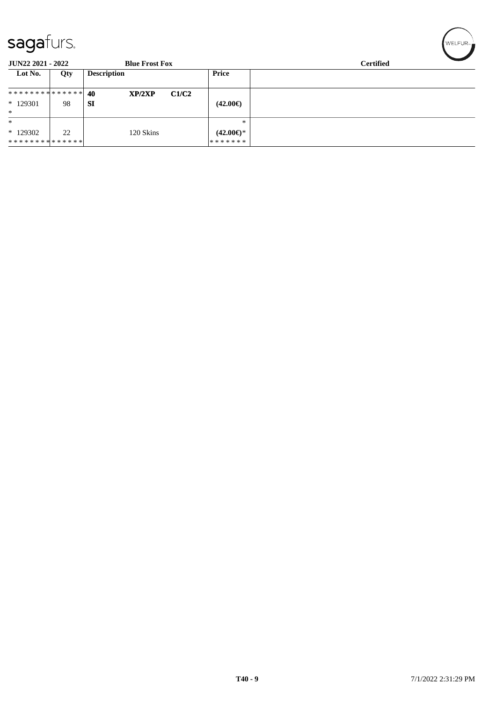| $\sim$ uyu $\sim$               |     |                       |                           |                  |  |  |  |
|---------------------------------|-----|-----------------------|---------------------------|------------------|--|--|--|
| <b>JUN22 2021 - 2022</b>        |     | <b>Blue Frost Fox</b> |                           | <b>Certified</b> |  |  |  |
| Lot No.                         | Qty | <b>Description</b>    | <b>Price</b>              |                  |  |  |  |
| ******** <mark>******</mark> 40 |     | XP/2XP                | C1/C2                     |                  |  |  |  |
| $*129301$                       | 98  | SI                    | $(42.00\epsilon)$         |                  |  |  |  |
| $*$                             |     |                       |                           |                  |  |  |  |
| $\ast$                          |     |                       | $*$                       |                  |  |  |  |
| $*129302$                       | 22  | 120 Skins             | $(42.00 \in \mathcal{F})$ |                  |  |  |  |
| * * * * * * * * * * * * * * *   |     |                       | *******                   |                  |  |  |  |

 $\left(\mathsf{WELFLR}_{m}\right)$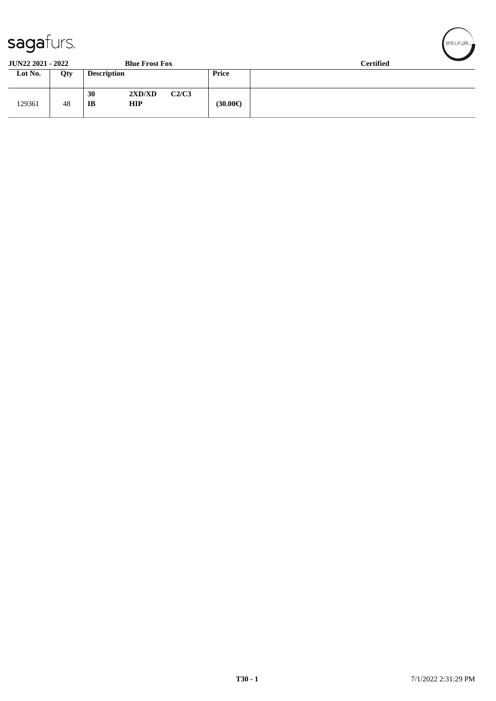| ັ                        |     |                                  |       |              |                  |
|--------------------------|-----|----------------------------------|-------|--------------|------------------|
| <b>JUN22 2021 - 2022</b> |     | <b>Blue Frost Fox</b>            |       |              | <b>Certified</b> |
| Lot No.                  | Qty | <b>Description</b>               |       | <b>Price</b> |                  |
| 129361                   | 48  | 2XD/XD<br>30<br><b>HIP</b><br>IB | C2/C3 | (30.00€)     |                  |

WELFUR<sub>T</sub>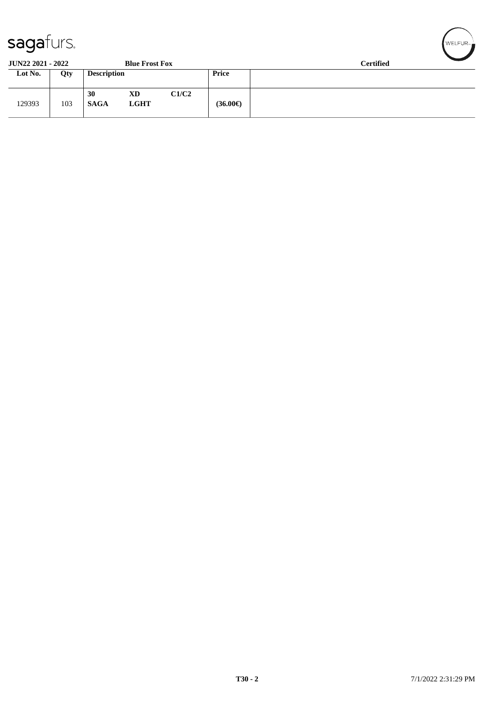| sagaturs.                |     |                    |                       | $\sqrt{\text{WELFUR}}$ |                   |                  |
|--------------------------|-----|--------------------|-----------------------|------------------------|-------------------|------------------|
| <b>JUN22 2021 - 2022</b> |     |                    | <b>Blue Frost Fox</b> |                        |                   | <b>Certified</b> |
| Lot No.                  | Qty | <b>Description</b> |                       | <b>Price</b>           |                   |                  |
| 129393                   | 103 | 30<br><b>SAGA</b>  | XD<br><b>LGHT</b>     | C1/C2                  | $(36.00\epsilon)$ |                  |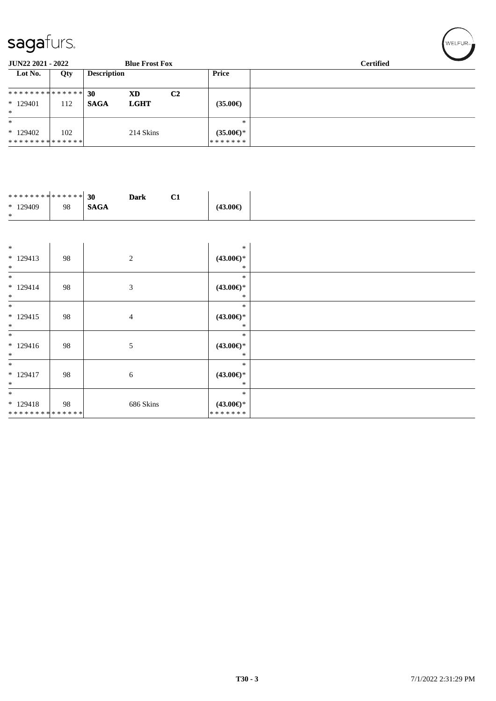| <b>JUN22 2021 - 2022</b>                  |     |                    | <b>Blue Frost Fox</b> |                |                                      | <b>Certified</b> |
|-------------------------------------------|-----|--------------------|-----------------------|----------------|--------------------------------------|------------------|
| Lot No.                                   | Qty | <b>Description</b> |                       |                | Price                                |                  |
| * * * * * * * * * * * * * * *<br>* 129401 | 112 | 30<br><b>SAGA</b>  | XD<br><b>LGHT</b>     | C <sub>2</sub> | $(35.00\epsilon)$                    |                  |
| $\ast$<br>$*$                             |     |                    |                       |                | $\ast$                               |                  |
| * 129402<br>* * * * * * * * * * * * * * * | 102 |                    | 214 Skins             |                | $(35.00\epsilon)$ *<br>* * * * * * * |                  |

| ******** <mark>******</mark> 30 |    |             | <b>Dark</b> |          |
|---------------------------------|----|-------------|-------------|----------|
| $*129409$                       | 98 | <b>SAGA</b> |             | (43.00€) |
| $\ast$                          |    |             |             |          |

| $\ast$                      |    |                | $\ast$              |  |
|-----------------------------|----|----------------|---------------------|--|
| $* 129413$                  | 98 | 2              | $(43.00\epsilon)$ * |  |
| $\ast$                      |    |                | ∗                   |  |
| $\ast$                      |    |                | $\ast$              |  |
| $* 129414$                  | 98 | 3              | $(43.00\epsilon)$ * |  |
| $\ast$                      |    |                | ∗                   |  |
| $\ast$                      |    |                | $\ast$              |  |
| $*129415$                   | 98 | $\overline{4}$ | $(43.00\epsilon)$ * |  |
| $\ast$                      |    |                | ∗                   |  |
| $\ast$                      |    |                | $\ast$              |  |
| $* 129416$                  | 98 | 5              | $(43.00\epsilon)$ * |  |
| $\ast$                      |    |                | ∗                   |  |
| $\ast$                      |    |                | $\ast$              |  |
| $* 129417$                  | 98 | 6              | $(43.00\epsilon)$ * |  |
| $\ast$                      |    |                | ∗                   |  |
| $\ast$                      |    |                | ∗                   |  |
| $*129418$                   | 98 | 686 Skins      | $(43.00\epsilon)$ * |  |
| * * * * * * * * * * * * * * |    |                | *******             |  |

 $(\overbrace{\text{WELFUR}_{\text{max}}})$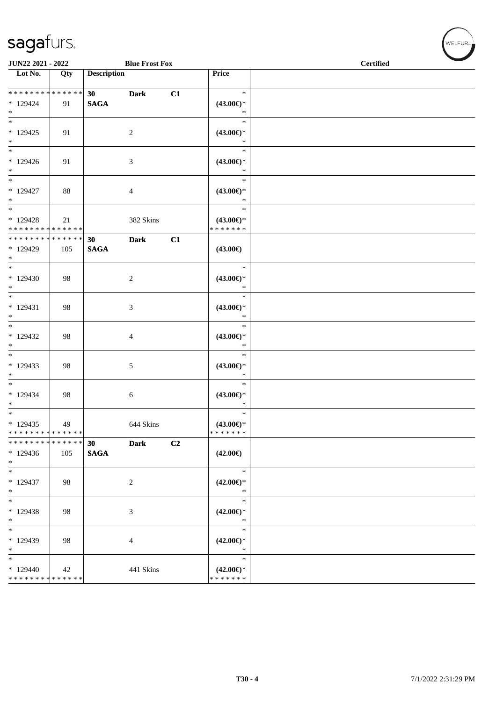| JUN22 2021 - 2022                                  |                    |                                | <b>Blue Frost Fox</b>       |                |                                                | <b>Certified</b> |  |  |  |
|----------------------------------------------------|--------------------|--------------------------------|-----------------------------|----------------|------------------------------------------------|------------------|--|--|--|
| Lot No.                                            | Qty                | <b>Description</b>             |                             |                | Price                                          |                  |  |  |  |
| ******** <mark>******</mark><br>$*129424$<br>$*$   | 91                 | 30 <sup>°</sup><br><b>SAGA</b> | <b>Dark</b>                 | C1             | $\ast$<br>$(43.00\epsilon)$ *<br>$\ast$        |                  |  |  |  |
| $*$<br>$*129425$<br>$*$                            | 91                 |                                | $\overline{2}$              |                | $\ast$<br>$(43.00\epsilon)$ *<br>$\ast$        |                  |  |  |  |
| $\overline{\phantom{0}}$<br>$*129426$<br>$*$       | 91                 |                                | 3                           |                | $\ast$<br>$(43.00\epsilon)$ *<br>$\ast$        |                  |  |  |  |
| $\ast$<br>$*129427$<br>$*$                         | 88                 |                                | $\overline{4}$              |                | $\ast$<br>$(43.00\epsilon)$ *<br>$\ast$        |                  |  |  |  |
| $*$<br>* 129428<br>* * * * * * * * * * * * * *     | 21                 |                                | 382 Skins                   |                | $\ast$<br>$(43.00\epsilon)$ *<br>* * * * * * * |                  |  |  |  |
| * * * * * * * *<br>* 129429<br>$*$                 | * * * * * *<br>105 | 30<br><b>SAGA</b>              | <b>Dark</b>                 | C1             | $(43.00\epsilon)$                              |                  |  |  |  |
| $*$<br>$*129430$<br>$*$                            | 98                 |                                | $\overline{c}$              |                | $\ast$<br>$(43.00\epsilon)$ *<br>$\ast$        |                  |  |  |  |
| $* 129431$<br>$\ast$                               | 98                 |                                | 3                           |                | $\ast$<br>$(43.00\epsilon)$ *<br>$\ast$        |                  |  |  |  |
| $\overline{\ast}$<br>$*129432$<br>$*$              | 98                 |                                | $\overline{4}$              |                | $\ast$<br>$(43.00\epsilon)$ *<br>$\ast$        |                  |  |  |  |
| $*$<br>$*129433$<br>$*$                            | 98                 |                                | 5                           |                | $\ast$<br>$(43.00\epsilon)$ *<br>$\ast$        |                  |  |  |  |
| $*$<br>$*129434$<br>$\ast$                         | 98                 |                                | $\sqrt{6}$                  |                | $\ast$<br>$(43.00\epsilon)$ *<br>$\ast$        |                  |  |  |  |
| $*$<br>$*129435$<br>* * * * * * * * * * * * * *    | 49                 |                                | 644 Skins                   |                | $\ast$<br>$(43.00\epsilon)$ *<br>* * * * * * * |                  |  |  |  |
| * * * * * * * * * * * * * *<br>* 129436<br>$\ast$  | 105                | 30<br><b>SAGA</b>              | <b>Dark</b>                 | C <sub>2</sub> | $(42.00\epsilon)$                              |                  |  |  |  |
| $\ast$<br>* 129437<br>$\ast$                       | 98                 |                                | $\boldsymbol{2}$            |                | $\ast$<br>$(42.00\epsilon)$ *<br>$\ast$        |                  |  |  |  |
| $\ast$<br>* 129438<br>$\ast$                       | 98                 |                                | $\boldsymbol{\mathfrak{Z}}$ |                | $\ast$<br>$(42.00\epsilon)$ *<br>$\ast$        |                  |  |  |  |
| $\ast$<br>* 129439<br>$\ast$                       | 98                 |                                | $\overline{4}$              |                | $\ast$<br>$(42.00\epsilon)$ *<br>$\ast$        |                  |  |  |  |
| $\ast$<br>$*129440$<br>* * * * * * * * * * * * * * | 42                 |                                | 441 Skins                   |                | $\ast$<br>$(42.00\epsilon)$ *<br>* * * * * * * |                  |  |  |  |

WELFUR<sub>\*</sub>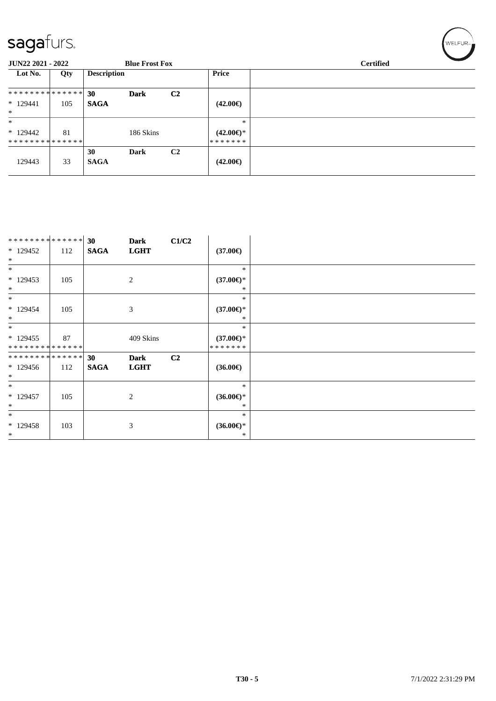| -<br><b>JUN22 2021 - 2022</b>         |     |                    | <b>Blue Frost Fox</b> |                |                                          | <b>Certified</b> |
|---------------------------------------|-----|--------------------|-----------------------|----------------|------------------------------------------|------------------|
| Lot No.                               | Qty | <b>Description</b> |                       |                | <b>Price</b>                             |                  |
| **************                        |     | 30                 | <b>Dark</b>           | C <sub>2</sub> |                                          |                  |
| $*129441$                             | 105 | <b>SAGA</b>        |                       |                | $(42.00\epsilon)$                        |                  |
| $\ast$                                |     |                    |                       |                |                                          |                  |
| $\ast$<br>$*129442$<br>************** | 81  |                    | 186 Skins             |                | $\ast$<br>$(42.00\epsilon)$ *<br>******* |                  |
| 129443                                | 33  | 30<br><b>SAGA</b>  | <b>Dark</b>           | C <sub>2</sub> | $(42.00\epsilon)$                        |                  |

| ******** <mark>******</mark> |     | 30          | <b>Dark</b> | C1/C2          |                     |
|------------------------------|-----|-------------|-------------|----------------|---------------------|
| $*129452$                    | 112 | <b>SAGA</b> | <b>LGHT</b> |                | $(37.00\epsilon)$   |
| $\ast$                       |     |             |             |                |                     |
| $\ast$                       |     |             |             |                | $\ast$              |
| $*129453$                    | 105 |             | 2           |                | $(37.00\epsilon)$ * |
| $*$                          |     |             |             |                | *                   |
| $*$                          |     |             |             |                | $\ast$              |
| $*129454$                    | 105 |             | 3           |                | $(37.00\epsilon)$ * |
| $*$                          |     |             |             |                | *                   |
| $\ast$                       |     |             |             |                | $\ast$              |
| $*129455$                    | 87  |             | 409 Skins   |                | $(37.00\epsilon)$ * |
| **************               |     |             |             |                | *******             |
| **************               |     | 30          | <b>Dark</b> | C <sub>2</sub> |                     |
| $*129456$                    | 112 | <b>SAGA</b> | <b>LGHT</b> |                | $(36.00\epsilon)$   |
| $*$                          |     |             |             |                |                     |
| $*$                          |     |             |             |                | $\ast$              |
| $* 129457$                   | 105 |             | 2           |                | $(36.00\epsilon)$ * |
| $\ast$                       |     |             |             |                | ∗                   |
| $*$                          |     |             |             |                | $\ast$              |
| $*129458$                    | 103 |             | 3           |                | $(36.00\epsilon)$ * |
| $*$                          |     |             |             |                | *                   |

 $(w$ ELFUR<sub>m</sub>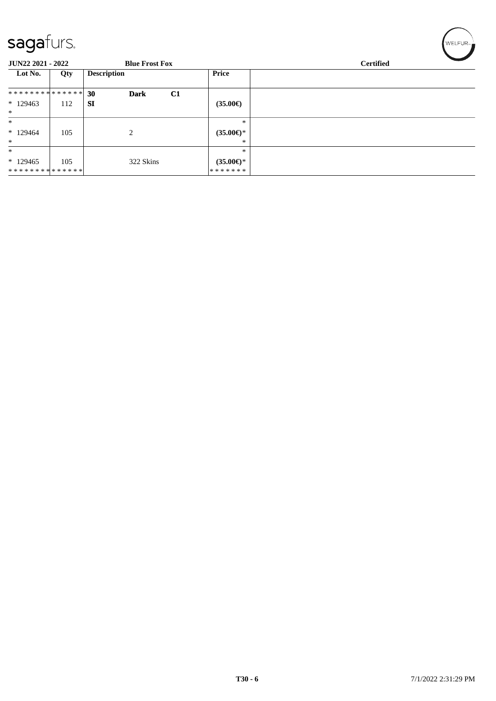| $\sim$                        |     |                         |                     |                  |
|-------------------------------|-----|-------------------------|---------------------|------------------|
| JUN22 2021 - 2022             |     | <b>Blue Frost Fox</b>   |                     | <b>Certified</b> |
| Lot No.                       | Qty | <b>Description</b>      | <b>Price</b>        |                  |
| * * * * * * * * * * * * * * * |     | C1<br>30<br><b>Dark</b> |                     |                  |
| $*129463$                     | 112 | <b>SI</b>               | $(35.00\epsilon)$   |                  |
| $\ast$                        |     |                         |                     |                  |
| $\ast$                        |     |                         | $\ast$              |                  |
| $*129464$                     | 105 | 2                       | $(35.00\epsilon)$ * |                  |
| $\ast$                        |     |                         | $*$                 |                  |
| $\ast$                        |     |                         | $\ast$              |                  |
| $*129465$                     | 105 | 322 Skins               | $(35.00\epsilon)$ * |                  |
| **************                |     |                         | * * * * * * *       |                  |

 $\left(\mathsf{WELFLR}_{m}\right)$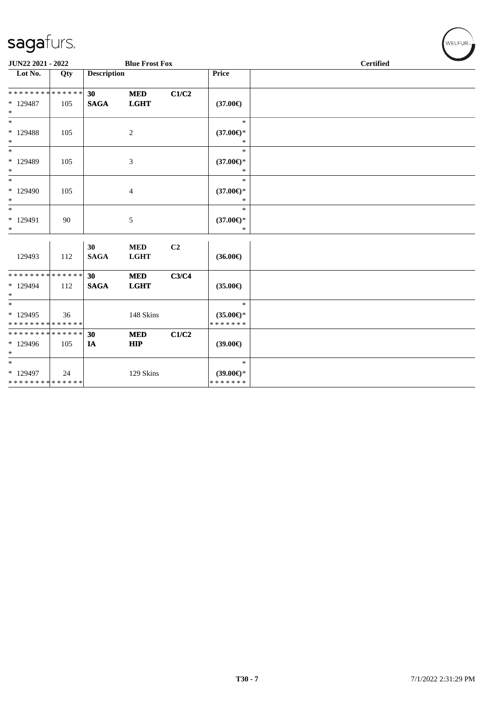| JUN22 2021 - 2022                                            |     |                                | <b>Blue Frost Fox</b>     |                |                                                | <b>Certified</b> |  |
|--------------------------------------------------------------|-----|--------------------------------|---------------------------|----------------|------------------------------------------------|------------------|--|
| $\overline{\text{Lot No.}}$                                  | Qty | <b>Description</b>             |                           |                | Price                                          |                  |  |
| * * * * * * * * * * * * * *<br>* 129487<br>$\ast$            | 105 | 30 <sup>°</sup><br><b>SAGA</b> | <b>MED</b><br><b>LGHT</b> | C1/C2          | $(37.00\epsilon)$                              |                  |  |
| $\overline{\ast}$<br>$*129488$<br>$\ast$                     | 105 |                                | $\overline{c}$            |                | $\ast$<br>$(37.00\epsilon)$ *<br>$\ast$        |                  |  |
| $\ast$<br>* 129489<br>$\ast$                                 | 105 |                                | 3                         |                | $\ast$<br>$(37.00\epsilon)$ *<br>$\ast$        |                  |  |
| $\overline{\phantom{a}^*}$<br>* 129490<br>$\ast$             | 105 |                                | 4                         |                | $\ast$<br>$(37.00\epsilon)$ *<br>$\ast$        |                  |  |
| $\ast$<br>$*129491$<br>$\ast$                                | 90  |                                | 5                         |                | $\ast$<br>$(37.00\epsilon)$ *<br>$\ast$        |                  |  |
| 129493                                                       | 112 | 30<br><b>SAGA</b>              | <b>MED</b><br><b>LGHT</b> | C <sub>2</sub> | $(36.00\epsilon)$                              |                  |  |
| * * * * * * * * * * * * * *<br>* 129494<br>$\ast$            | 112 | 30 <sup>°</sup><br><b>SAGA</b> | <b>MED</b><br><b>LGHT</b> | C3/C4          | $(35.00\epsilon)$                              |                  |  |
| $\overline{\ast}$<br>* 129495<br>* * * * * * * * * * * * * * | 36  |                                | 148 Skins                 |                | $\ast$<br>$(35.00\epsilon)$ *<br>* * * * * * * |                  |  |
| ******** <mark>******</mark><br>* 129496<br>$\ast$           | 105 | 30<br>IA                       | <b>MED</b><br><b>HIP</b>  | C1/C2          | $(39.00\epsilon)$                              |                  |  |
| $\ast$<br>* 129497<br>**************                         | 24  |                                | 129 Skins                 |                | $\ast$<br>$(39.00\epsilon)$ *<br>* * * * * * * |                  |  |

 $(w$ ELFUR<sub>m</sub>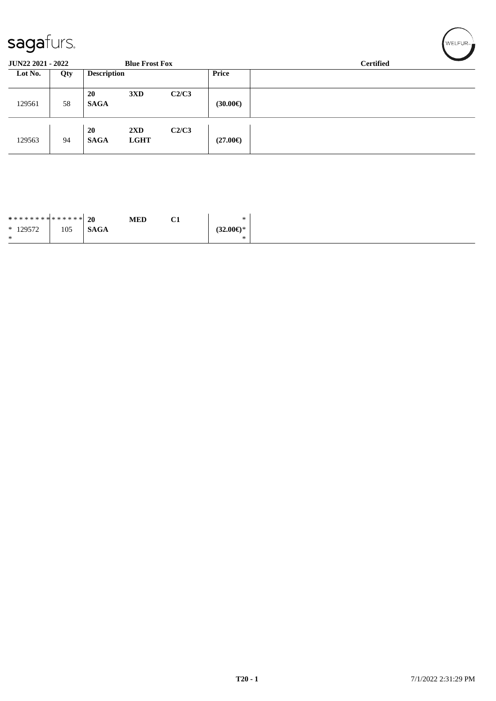| sagafurs.                                         |     |                    |                                        |       | WELFUR <sub>™</sub> |                  |
|---------------------------------------------------|-----|--------------------|----------------------------------------|-------|---------------------|------------------|
| <b>JUN22 2021 - 2022</b><br><b>Blue Frost Fox</b> |     |                    |                                        |       |                     | <b>Certified</b> |
| Lot No.                                           | Qty | <b>Description</b> |                                        |       | <b>Price</b>        |                  |
| 129561                                            | 58  | 20<br><b>SAGA</b>  | 3XD                                    | C2/C3 | $(30.00\epsilon)$   |                  |
| 129563                                            | 94  | 20<br><b>SAGA</b>  | $2\mathbf{X}\mathbf{D}$<br><b>LGHT</b> | C2/C3 | $(27.00\epsilon)$   |                  |

| ******** <mark>******</mark> 20 |     |             | <b>MED</b> | $\sim$<br>СT | *                   |
|---------------------------------|-----|-------------|------------|--------------|---------------------|
| $*129572$                       | 105 | <b>SAGA</b> |            |              | $(32.00\epsilon)$ * |
| $\ast$                          |     |             |            |              | $\ast$              |